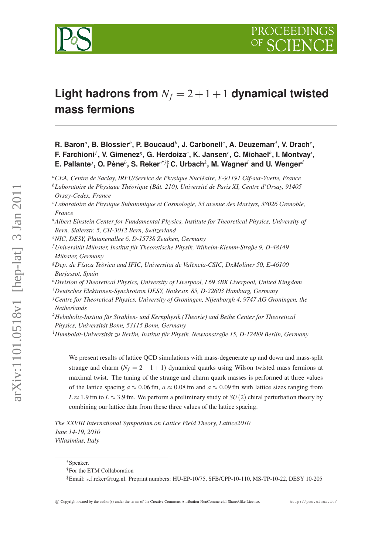

# **Light hadrons from**  $N_f = 2 + 1 + 1$  **dynamical twisted mass fermions**

 ${\bf R.\,\,}$  Baron $^a$ ,  ${\bf B.\,\,}$  Blossier $^b$ ,  ${\bf P.\,\,}$  Boucaud $^b$ , J. Carbonell $^c$ ,  ${\bf A.\,\,}$  Deuzeman $^d$ , V. Drach $^e$ , **F. Farchioni***<sup>f</sup>* **, V. Gimenez***<sup>g</sup>* **, G. Herdoiza***<sup>e</sup>* **, K. Jansen***<sup>e</sup>* **, C. Michael***<sup>h</sup>* **, I. Montvay***<sup>i</sup>* **, E. Pallante***<sup>j</sup>* **, O. Pène***<sup>b</sup>* **, S. Reker**∗†*j*‡ **, C. Urbach***<sup>k</sup>* **, M. Wagner***<sup>l</sup>* **and U. Wenger***<sup>d</sup>*

- *<sup>d</sup>Albert Einstein Center for Fundamental Physics, Institute for Theoretical Physics, University of Bern, Sidlerstr. 5, CH-3012 Bern, Switzerland*
- *<sup>e</sup>NIC, DESY, Platanenallee 6, D-15738 Zeuthen, Germany*
- *<sup>f</sup> Universität Münster, Institut für Theoretische Physik, Wilhelm-Klemm-Straße 9, D-48149 Münster, Germany*
- *<sup>g</sup>Dep. de Física Teòrica and IFIC, Universitat de València-CSIC, Dr.Moliner 50, E-46100 Burjassot, Spain*
- *<sup>h</sup>Division of Theoretical Physics, University of Liverpool, L69 3BX Liverpool, United Kingdom <sup>i</sup>Deutsches Elektronen-Synchrotron DESY, Notkestr. 85, D-22603 Hamburg, Germany*
- *<sup>j</sup>Centre for Theoretical Physics, University of Groningen, Nijenborgh 4, 9747 AG Groningen, the Netherlands*
- *<sup>k</sup>Helmholtz-Institut für Strahlen- und Kernphysik (Theorie) and Bethe Center for Theoretical Physics, Universität Bonn, 53115 Bonn, Germany*

*<sup>l</sup>Humboldt-Universität zu Berlin, Institut für Physik, Newtonstraße 15, D-12489 Berlin, Germany*

We present results of lattice QCD simulations with mass-degenerate up and down and mass-split strange and charm  $(N_f = 2 + 1 + 1)$  dynamical quarks using Wilson twisted mass fermions at maximal twist. The tuning of the strange and charm quark masses is performed at three values of the lattice spacing  $a \approx 0.06$  fm,  $a \approx 0.08$  fm and  $a \approx 0.09$  fm with lattice sizes ranging from  $L \approx 1.9$  fm to  $L \approx 3.9$  fm. We perform a preliminary study of  $SU(2)$  chiral perturbation theory by combining our lattice data from these three values of the lattice spacing.

*The XXVIII International Symposium on Lattice Field Theory, Lattice2010 June 14-19, 2010 Villasimius, Italy*

<sup>∗</sup>Speaker.

*<sup>a</sup>CEA, Centre de Saclay, IRFU/Service de Physique Nucléaire, F-91191 Gif-sur-Yvette, France <sup>b</sup>Laboratoire de Physique Théorique (Bât. 210), Université de Paris XI, Centre d'Orsay, 91405*

*Orsay-Cedex, France*

*<sup>c</sup>Laboratoire de Physique Subatomique et Cosmologie, 53 avenue des Martyrs, 38026 Grenoble, France*

<sup>†</sup>For the ETM Collaboration

<sup>‡</sup>Email: s.f.reker@rug.nl. Preprint numbers: HU-EP-10/75, SFB/CPP-10-110, MS-TP-10-22, DESY 10-205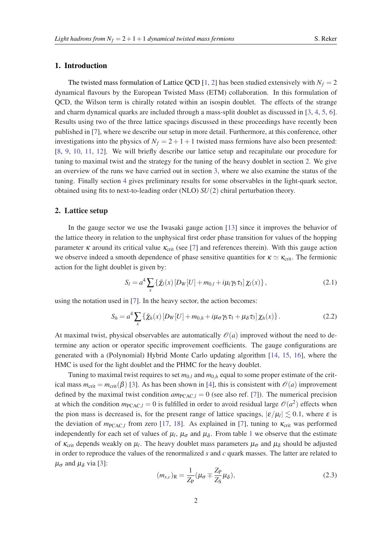## 1. Introduction

The twisted mass formulation of Lattice QCD [\[1,](#page-6-0) [2](#page-6-0)] has been studied extensively with  $N_f = 2$ dynamical flavours by the European Twisted Mass (ETM) collaboration. In this formulation of QCD, the Wilson term is chirally rotated within an isospin doublet. The effects of the strange and charm dynamical quarks are included through a mass-split doublet as discussed in [\[3,](#page-6-0) [4,](#page-6-0) [5,](#page-6-0) [6\]](#page-6-0). Results using two of the three lattice spacings discussed in these proceedings have recently been published in [[7](#page-6-0)], where we describe our setup in more detail. Furthermore, at this conference, other investigations into the physics of  $N_f = 2 + 1 + 1$  twisted mass fermions have also been presented: [[8](#page-6-0), [9,](#page-6-0) [10](#page-6-0), [11,](#page-6-0) [12](#page-6-0)]. We will briefly describe our lattice setup and recapitulate our procedure for tuning to maximal twist and the strategy for the tuning of the heavy doublet in section 2. We give an overview of the runs we have carried out in section [3](#page-2-0), where we also examine the status of the tuning. Finally section [4](#page-3-0) gives preliminary results for some observables in the light-quark sector, obtained using fits to next-to-leading order (NLO) *SU*(2) chiral perturbation theory.

## 2. Lattice setup

In the gauge sector we use the Iwasaki gauge action [[13\]](#page-6-0) since it improves the behavior of the lattice theory in relation to the unphysical first order phase transition for values of the hopping parameter  $\kappa$  around its critical value  $\kappa_{\rm crit}$  (see [[7](#page-6-0)] and references therein). With this gauge action we observe indeed a smooth dependence of phase sensitive quantities for  $\kappa \simeq \kappa_{\rm crit}$ . The fermionic action for the light doublet is given by:

$$
S_l = a^4 \sum_{x} {\{\bar{\chi}_l(x) [D_W[U] + m_{0,l} + i\mu_l \gamma_5 \tau_3]} \chi_l(x) } ,
$$
 (2.1)

using the notation used in [[7](#page-6-0)]. In the heavy sector, the action becomes:

$$
S_h = a^4 \sum_x \left\{ \bar{\chi}_h(x) \left[ D_W[U] + m_{0,h} + i \mu_\sigma \gamma_5 \tau_1 + \mu_\delta \tau_3 \right] \chi_h(x) \right\}.
$$
 (2.2)

At maximal twist, physical observables are automatically  $\mathcal{O}(a)$  improved without the need to determine any action or operator specific improvement coefficients. The gauge configurations are generated with a (Polynomial) Hybrid Monte Carlo updating algorithm [\[14](#page-6-0), [15,](#page-6-0) [16](#page-6-0)], where the HMC is used for the light doublet and the PHMC for the heavy doublet.

Tuning to maximal twist requires to set  $m_0$ , and  $m_0$ , equal to some proper estimate of the critical mass  $m_{\text{crit}} = m_{\text{crit}}(\beta)$  [\[3](#page-6-0)]. As has been shown in [[4](#page-6-0)], this is consistent with  $\mathcal{O}(a)$  improvement defined by the maximal twist condition  $am_{PCAC,l} = 0$  (see also ref. [[7](#page-6-0)]). The numerical precision at which the condition  $m_{\text{PCAC},l} = 0$  is fulfilled in order to avoid residual large  $\mathcal{O}(a^2)$  effects when the pion mass is decreased is, for the present range of lattice spacings,  $|\varepsilon/\mu_l| \lesssim 0.1$ , where  $\varepsilon$  is the deviation of  $m_{\text{PCAC},l}$  from zero [\[17](#page-6-0), [18](#page-6-0)]. As explained in [\[7\]](#page-6-0), tuning to  $\kappa_{\text{crit}}$  was performed independently for each set of values of  $\mu_l$ ,  $\mu_{\sigma}$  and  $\mu_{\delta}$ . From table [1](#page-2-0) we observe that the estimate of  $\kappa_{crit}$  depends weakly on  $\mu_l$ . The heavy doublet mass parameters  $\mu_{\sigma}$  and  $\mu_{\delta}$  should be adjusted in order to reproduce the values of the renormalized *s* and *c* quark masses. The latter are related to  $\mu_{\sigma}$  and  $\mu_{\delta}$  via [[3](#page-6-0)]:

$$
(m_{s,c})_{\mathcal{R}} = \frac{1}{Z_{\mathcal{P}}} (\mu_{\sigma} \mp \frac{Z_{\mathcal{P}}}{Z_{\mathcal{S}}} \mu_{\delta}),
$$
\n(2.3)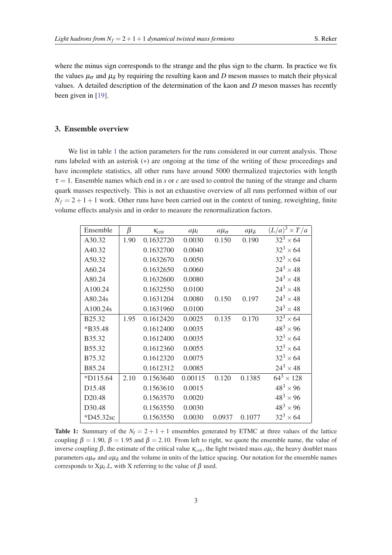<span id="page-2-0"></span>where the minus sign corresponds to the strange and the plus sign to the charm. In practice we fix the values  $\mu_{\sigma}$  and  $\mu_{\delta}$  by requiring the resulting kaon and *D* meson masses to match their physical values. A detailed description of the determination of the kaon and *D* meson masses has recently been given in [\[19\]](#page-6-0).

## 3. Ensemble overview

We list in table 1 the action parameters for the runs considered in our current analysis. Those runs labeled with an asterisk (∗) are ongoing at the time of the writing of these proceedings and have incomplete statistics, all other runs have around 5000 thermalized trajectories with length  $\tau = 1$ . Ensemble names which end in *s* or *c* are used to control the tuning of the strange and charm quark masses respectively. This is not an exhaustive overview of all runs performed within of our  $N_f = 2 + 1 + 1$  work. Other runs have been carried out in the context of tuning, reweighting, finite volume effects analysis and in order to measure the renormalization factors.

| Ensemble           | β    | $K_{\text{crit}}$ | $a\mu$  | $a\mu_{\sigma}$ | $a\mu_{\delta}$ | $(L/a)^3 \times T/a$ |
|--------------------|------|-------------------|---------|-----------------|-----------------|----------------------|
| A30.32             | 1.90 | 0.1632720         | 0.0030  | 0.150           | 0.190           | $32^3 \times 64$     |
| A40.32             |      | 0.1632700         | 0.0040  |                 |                 | $32^3 \times 64$     |
| A50.32             |      | 0.1632670         | 0.0050  |                 |                 | $32^3 \times 64$     |
| A60.24             |      | 0.1632650         | 0.0060  |                 |                 | $24^3 \times 48$     |
| A80.24             |      | 0.1632600         | 0.0080  |                 |                 | $24^3 \times 48$     |
| A100.24            |      | 0.1632550         | 0.0100  |                 |                 | $24^3 \times 48$     |
| A80.24s            |      | 0.1631204         | 0.0080  | 0.150           | 0.197           | $24^3 \times 48$     |
| A100.24s           |      | 0.1631960         | 0.0100  |                 |                 | $24^3 \times 48$     |
| B25.32             | 1.95 | 0.1612420         | 0.0025  | 0.135           | 0.170           | $32^3 \times 64$     |
| *B35.48            |      | 0.1612400         | 0.0035  |                 |                 | $48^3 \times 96$     |
| B35.32             |      | 0.1612400         | 0.0035  |                 |                 | $32^3 \times 64$     |
| B55.32             |      | 0.1612360         | 0.0055  |                 |                 | $32^3 \times 64$     |
| B75.32             |      | 0.1612320         | 0.0075  |                 |                 | $32^3 \times 64$     |
| B85.24             |      | 0.1612312         | 0.0085  |                 |                 | $24^3 \times 48$     |
| $*D115.64$         | 2.10 | 0.1563640         | 0.00115 | 0.120           | 0.1385          | $64^3 \times 128$    |
| D15.48             |      | 0.1563610         | 0.0015  |                 |                 | $48^3 \times 96$     |
| D <sub>20.48</sub> |      | 0.1563570         | 0.0020  |                 |                 | $48^3 \times 96$     |
| D30.48             |      | 0.1563550         | 0.0030  |                 |                 | $48^3 \times 96$     |
| *D45.32sc          |      | 0.1563550         | 0.0030  | 0.0937          | 0.1077          | $32^3 \times 64$     |

Table 1: Summary of the  $N_f = 2 + 1 + 1$  ensembles generated by ETMC at three values of the lattice coupling  $\beta = 1.90$ ,  $\beta = 1.95$  and  $\beta = 2.10$ . From left to right, we quote the ensemble name, the value of inverse coupling  $\beta$ , the estimate of the critical value  $\kappa_{crit}$ , the light twisted mass  $a\mu_l$ , the heavy doublet mass parameters  $a\mu_{\sigma}$  and  $a\mu_{\delta}$  and the volume in units of the lattice spacing. Our notation for the ensemble names corresponds to  $X\mu_l.L$ , with X referring to the value of  $\beta$  used.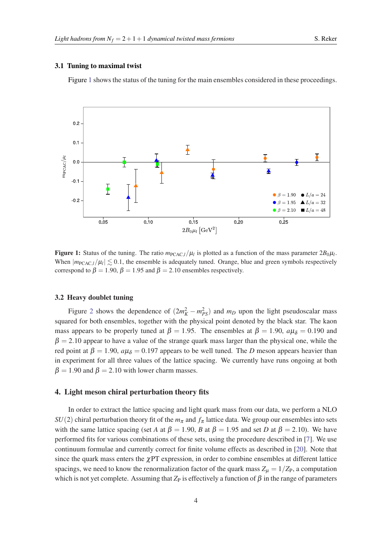#### <span id="page-3-0"></span>3.1 Tuning to maximal twist

Figure 1 shows the status of the tuning for the main ensembles considered in these proceedings.



Figure 1: Status of the tuning. The ratio  $m_{\text{PCAC},l}/\mu_l$  is plotted as a function of the mass parameter  $2B_0\mu_l$ . When  $|m_{\text{PCAC},l}/\mu_l| \lesssim 0.1$ , the ensemble is adequately tuned. Orange, blue and green symbols respectively correspond to  $\beta = 1.90$ ,  $\beta = 1.95$  and  $\beta = 2.10$  ensembles respectively.

#### 3.2 Heavy doublet tuning

Figure [2](#page-4-0) shows the dependence of  $(2m_K^2 - m_{PS}^2)$  and  $m_D$  upon the light pseudoscalar mass squared for both ensembles, together with the physical point denoted by the black star. The kaon mass appears to be properly tuned at  $\beta = 1.95$ . The ensembles at  $\beta = 1.90$ ,  $a\mu_{\delta} = 0.190$  and  $\beta = 2.10$  appear to have a value of the strange quark mass larger than the physical one, while the red point at  $\beta = 1.90$ ,  $a\mu_{\delta} = 0.197$  appears to be well tuned. The *D* meson appears heavier than in experiment for all three values of the lattice spacing. We currently have runs ongoing at both  $\beta = 1.90$  and  $\beta = 2.10$  with lower charm masses.

# 4. Light meson chiral perturbation theory fits

In order to extract the lattice spacing and light quark mass from our data, we perform a NLO *SU*(2) chiral perturbation theory fit of the  $m<sub>\pi</sub>$  and  $f<sub>\pi</sub>$  lattice data. We group our ensembles into sets with the same lattice spacing (set *A* at  $\beta = 1.90$ , *B* at  $\beta = 1.95$  and set *D* at  $\beta = 2.10$ ). We have performed fits for various combinations of these sets, using the procedure described in [\[7\]](#page-6-0). We use continuum formulae and currently correct for finite volume effects as described in [[20\]](#page-6-0). Note that since the quark mass enters the  $\chi$ PT expression, in order to combine ensembles at different lattice spacings, we need to know the renormalization factor of the quark mass  $Z_{\mu} = 1/Z_{P}$ , a computation which is not yet complete. Assuming that  $Z_P$  is effectively a function of  $\beta$  in the range of parameters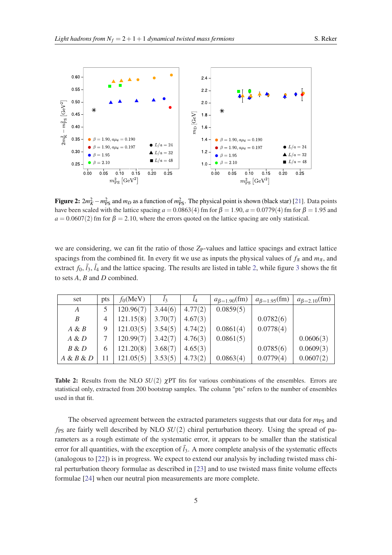<span id="page-4-0"></span>

**Figure 2:**  $2m_K^2 - m_{\text{PS}}^2$  and  $m_D$  as a function of  $m_{\text{PS}}^2$ . The physical point is shown (black star) [[21\]](#page-6-0). Data points have been scaled with the lattice spacing  $a = 0.0863(4)$  fm for  $\beta = 1.90$ ,  $a = 0.0779(4)$  fm for  $\beta = 1.95$  and  $a = 0.0607(2)$  fm for  $\beta = 2.10$ , where the errors quoted on the lattice spacing are only statistical.

we are considering, we can fit the ratio of those Z<sub>P</sub>-values and lattice spacings and extract lattice spacings from the combined fit. In every fit we use as inputs the physical values of  $f_{\pi}$  and  $m_{\pi}$ , and extract  $f_0$ ,  $\bar{l}_3$  $\bar{l}_3$ ,  $\bar{l}_4$  and the lattice spacing. The results are listed in table 2, while figure 3 shows the fit to sets *A*, *B* and *D* combined.

| set       | pts | $f_0$ (MeV) | $l_3$   | $l_4$   | $a_{\beta=1.90}$ (fm) | $a_{\beta=1.95}$ (fm) | $a_{\beta=2.10}$ (fm) |
|-----------|-----|-------------|---------|---------|-----------------------|-----------------------|-----------------------|
| A         |     | 120.96(7)   | 3.44(6) | 4.77(2) | 0.0859(5)             |                       |                       |
| B         | 4   | 121.15(8)   | 3.70(7) | 4.67(3) |                       | 0.0782(6)             |                       |
| $A \& B$  | 9   | 121.03(5)   | 3.54(5) | 4.74(2) | 0.0861(4)             | 0.0778(4)             |                       |
| $A \& D$  |     | 120.99(7)   | 3.42(7) | 4.76(3) | 0.0861(5)             |                       | 0.0606(3)             |
| $B \& D$  | 6   | 121.20(8)   | 3.68(7) | 4.65(3) |                       | 0.0785(6)             | 0.0609(3)             |
| A & B & D |     | 121.05(5)   | 3.53(5) | 4.73(2) | 0.0863(4)             | 0.0779(4)             | 0.0607(2)             |

**Table 2:** Results from the NLO  $SU(2)$   $\gamma$ PT fits for various combinations of the ensembles. Errors are statistical only, extracted from 200 bootstrap samples. The column "pts" refers to the number of ensembles used in that fit.

The observed agreement between the extracted parameters suggests that our data for  $m_{PS}$  and  $f_{PS}$  are fairly well described by NLO  $SU(2)$  chiral perturbation theory. Using the spread of parameters as a rough estimate of the systematic error, it appears to be smaller than the statistical error for all quantities, with the exception of  $\bar{l}_3$ . A more complete analysis of the systematic effects (analogous to [[22\]](#page-6-0)) is in progress. We expect to extend our analysis by including twisted mass chiral perturbation theory formulae as described in [[23](#page-6-0)] and to use twisted mass finite volume effects formulae [\[24\]](#page-6-0) when our neutral pion measurements are more complete.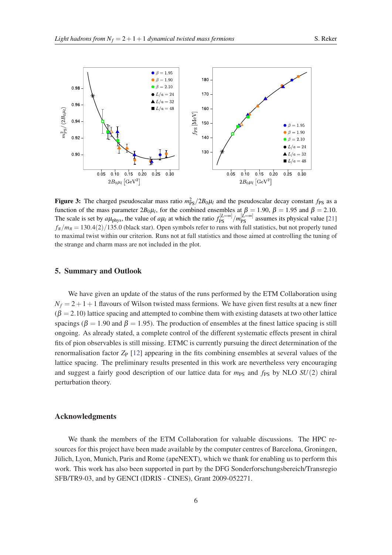<span id="page-5-0"></span>

Figure 3: The charged pseudoscalar mass ratio  $m_{PS}^2/2B_0\mu_l$  and the pseudoscalar decay constant  $f_{PS}$  as a function of the mass parameter  $2B_0\mu_l$ , for the combined ensembles at  $\beta = 1.90$ ,  $\beta = 1.95$  and  $\beta = 2.10$ . The scale is set by  $a\mu_{\text{phys}}$ , the value of  $a\mu_l$  at which the ratio  $f_{PS}^{[L=\infty]}/m_{PS}^{[L=\infty]}$  assumes its physical value [[21\]](#page-6-0)  $f_\pi/m_\pi = 130.4(2)/135.0$  (black star). Open symbols refer to runs with full statistics, but not properly tuned to maximal twist within our criterion. Runs not at full statistics and those aimed at controlling the tuning of the strange and charm mass are not included in the plot.

## 5. Summary and Outlook

We have given an update of the status of the runs performed by the ETM Collaboration using  $N_f = 2 + 1 + 1$  flavours of Wilson twisted mass fermions. We have given first results at a new finer  $(\beta = 2.10)$  lattice spacing and attempted to combine them with existing datasets at two other lattice spacings ( $\beta = 1.90$  and  $\beta = 1.95$ ). The production of ensembles at the finest lattice spacing is still ongoing. As already stated, a complete control of the different systematic effects present in chiral fits of pion observables is still missing. ETMC is currently pursuing the direct determination of the renormalisation factor *Z*<sub>P</sub> [[12\]](#page-6-0) appearing in the fits combining ensembles at several values of the lattice spacing. The preliminary results presented in this work are nevertheless very encouraging and suggest a fairly good description of our lattice data for  $m_{PS}$  and  $f_{PS}$  by NLO  $SU(2)$  chiral perturbation theory.

## Acknowledgments

We thank the members of the ETM Collaboration for valuable discussions. The HPC resources for this project have been made available by the computer centres of Barcelona, Groningen, Jülich, Lyon, Munich, Paris and Rome (apeNEXT), which we thank for enabling us to perform this work. This work has also been supported in part by the DFG Sonderforschungsbereich/Transregio SFB/TR9-03, and by GENCI (IDRIS - CINES), Grant 2009-052271.